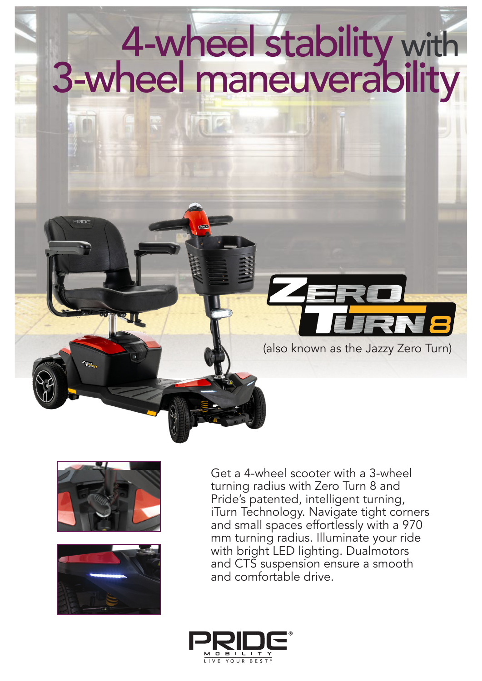# 4-wheel stability with 3-wheel maneuverability





Get a 4-wheel scooter with a 3-wheel turning radius with Zero Turn 8 and Pride's patented, intelligent turning, iTurn Technology. Navigate tight corners and small spaces effortlessly with a 970 mm turning radius. Illuminate your ride with bright LED lighting. Dualmotors and CTS suspension ensure a smooth and comfortable drive.

(also known as the Jazzy Zero Turn)